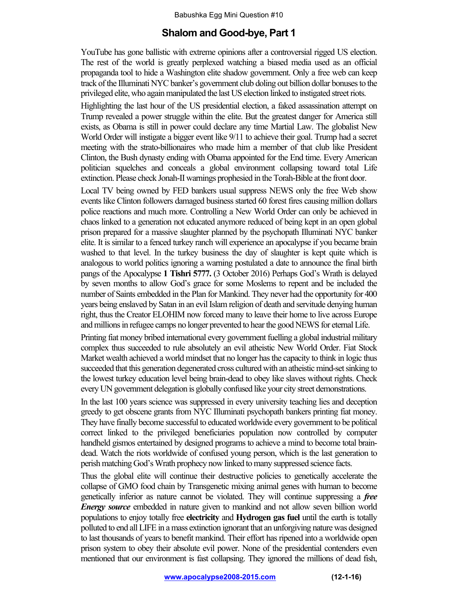## **Shalom and Good-bye, Part 1**

YouTube has gone ballistic with extreme opinions after a controversial rigged US election. The rest of the world is greatly perplexed watching a biased media used as an official propaganda tool to hide a Washington elite shadow government. Only a free web can keep track of the Illuminati NYC banker's government club doling out billion dollar bonusesto the privileged elite, who again manipulated the last US election linked to instigated street riots.

Highlighting the last hour of the US presidential election, a faked assassination attempt on Trump revealed a power struggle within the elite. But the greatest danger for America still exists, as Obama is still in power could declare any time Martial Law. The globalist New World Order will instigate a bigger event like 9/11 to achieve their goal. Trump had a secret meeting with the strato-billionaires who made him a member of that club like President Clinton, the Bush dynasty ending with Obama appointed for the End time. Every American politician squelches and conceals a global environment collapsing toward total Life extinction. Please check Jonah-II warnings prophesied in the Torah-Bible at the front door.

Local TV being owned by FED bankers usual suppress NEWS only the free Web show events like Clinton followers damaged business started 60 forest fires causing million dollars police reactions and much more. Controlling a New World Order can only be achieved in chaos linked to a generation not educated anymore reduced of being kept in an open global prison prepared for a massive slaughter planned by the psychopath Illuminati NYC banker elite. It is similar to a fenced turkey ranch will experience an apocalypse if you became brain washed to that level. In the turkey business the day of slaughter is kept quite which is analogous to world politics ignoring a warning postulated a date to announce the final birth pangs of the Apocalypse **1 Tishri 5777.** (3 October 2016) Perhaps God's Wrath is delayed by seven months to allow God's grace for some Moslems to repent and be included the number of Saints embedded in the Plan for Mankind. They never had the opportunity for 400 years being enslaved by Satan in an evil Islam religion of death and servitude denying human right, thus the Creator ELOHIM now forced many to leave their home to live across Europe and millions in refugee camps no longer prevented to hear the good NEWS for eternal Life.

Printing fiat money bribed international every government fuelling a global industrial military complex thus succeeded to rule absolutely an evil atheistic New World Order. Fiat Stock Market wealth achieved a world mindset that no longer has the capacity to think in logic thus succeeded that this generation degenerated cross cultured with an atheistic mind-setsinking to the lowest turkey education level being brain-dead to obey like slaves without rights. Check every UN government delegation is globally confused like your city street demonstrations.

In the last 100 years science was suppressed in every university teaching lies and deception greedy to get obscene grants from NYC Illuminati psychopath bankers printing fiat money. They have finally become successful to educated worldwide every government to be political correct linked to the privileged beneficiaries population now controlled by computer handheld gismos entertained by designed programs to achieve a mind to become total braindead. Watch the riots worldwide of confused young person, which is the last generation to perish matching God's Wrath prophecy now linked to many suppressed science facts.

Thus the global elite will continue their destructive policies to genetically accelerate the collapse of GMO food chain by Transgenetic mixing animal genes with human to become genetically inferior as nature cannot be violated. They will continue suppressing a *free Energy source* embedded in nature given to mankind and not allow seven billion world populations to enjoy totally free **electricity** and **Hydrogen gas fuel** until the earth is totally polluted to end all LIFE in a mass extinction ignorant that an unforgiving nature was designed to last thousands of years to benefit mankind. Their effort has ripened into a worldwide open prison system to obey their absolute evil power. None of the presidential contenders even mentioned that our environment is fast collapsing. They ignored the millions of dead fish,